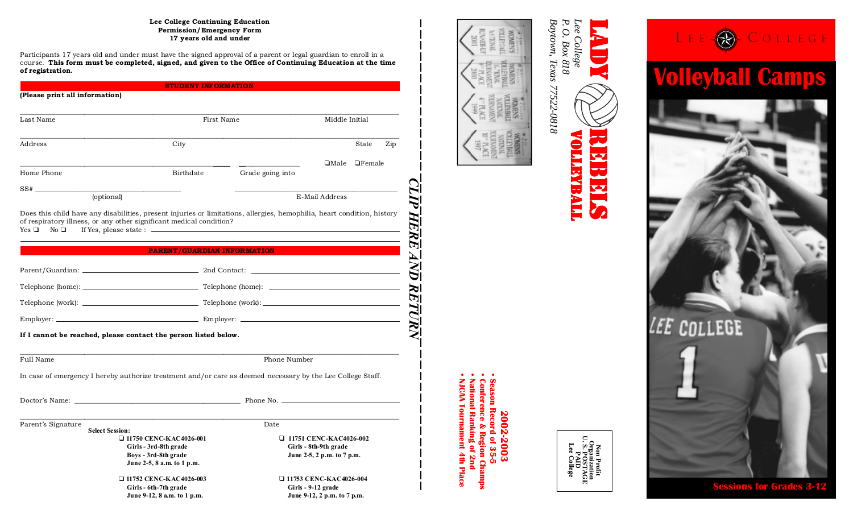#### **Lee College Continuing Education Permission/Emergency Form 17 years old and under**

Participants 17 years old and under must have the signed approval of a parent or legal guardian to enroll in a course. **This form must be completed, signed, and given to the Office of Continuing Education at the time of registration.**

|                                                                                                                                                                                                                                                                  | <b>STUDENT INFORMATION</b>                                                                                     |                  |                                                                                      |               |
|------------------------------------------------------------------------------------------------------------------------------------------------------------------------------------------------------------------------------------------------------------------|----------------------------------------------------------------------------------------------------------------|------------------|--------------------------------------------------------------------------------------|---------------|
| (Please print all information)                                                                                                                                                                                                                                   |                                                                                                                |                  |                                                                                      |               |
| Last Name                                                                                                                                                                                                                                                        | First Name                                                                                                     |                  | Middle Initial                                                                       |               |
| Address                                                                                                                                                                                                                                                          | City                                                                                                           |                  |                                                                                      | State<br>Zip  |
|                                                                                                                                                                                                                                                                  |                                                                                                                |                  | $\Box$ Male                                                                          | $\Box$ Female |
| Home Phone                                                                                                                                                                                                                                                       | Birthdate                                                                                                      | Grade going into |                                                                                      |               |
| SS#<br>(optional)                                                                                                                                                                                                                                                |                                                                                                                |                  | E-Mail Address                                                                       |               |
| Does this child have any disabilities, present injuries or limitations, allergies, hemophilia, heart condition, history<br>of respiratory illness, or any other significant medical condition?<br>If Yes, please state : ___________<br>Yes □<br>No <sub>Q</sub> |                                                                                                                |                  |                                                                                      |               |
|                                                                                                                                                                                                                                                                  | <b>PARENT/GUARDIAN INFORMATION</b>                                                                             |                  |                                                                                      |               |
|                                                                                                                                                                                                                                                                  |                                                                                                                |                  |                                                                                      |               |
|                                                                                                                                                                                                                                                                  |                                                                                                                |                  |                                                                                      |               |
|                                                                                                                                                                                                                                                                  |                                                                                                                |                  |                                                                                      |               |
|                                                                                                                                                                                                                                                                  |                                                                                                                |                  |                                                                                      |               |
| If I cannot be reached, please contact the person listed below.                                                                                                                                                                                                  |                                                                                                                |                  |                                                                                      |               |
| Full Name                                                                                                                                                                                                                                                        | Phone Number                                                                                                   |                  |                                                                                      |               |
| In case of emergency I hereby authorize treatment and/or care as deemed necessary by the Lee College Staff.                                                                                                                                                      |                                                                                                                |                  |                                                                                      |               |
| Doctor's Name: with a state of the control of the control of the control of the control of the control of the control of the control of the control of the control of the control of the control of the control of the control                                   |                                                                                                                | Phone No.        |                                                                                      |               |
| Parent's Signature<br><b>Select Session:</b>                                                                                                                                                                                                                     | Date                                                                                                           |                  |                                                                                      |               |
|                                                                                                                                                                                                                                                                  | □ 11750 CENC-KAC4026-001<br>Girls - 3rd-8th grade<br>Boys - 3rd-8th grade                                      |                  | $\Box$ 11751 CENC-KAC4026-002<br>Girls - 8th-9th grade<br>June 2-5, 2 p.m. to 7 p.m. |               |
|                                                                                                                                                                                                                                                                  | June 2-5, 8 a.m. to 1 p.m.<br>□ 11752 CENC-KAC4026-003<br>Girls - 6th-7th grade<br>June 9-12, 8 a.m. to 1 p.m. |                  | □ 11753 CENC-KAC4026-004<br>Girls - 9-12 grade<br>June 9-12, 2 p.m. to 7 p.m.        |               |



*Lee College*<br>*P. O. Box 818 Lee College O. Box 818*

VOLLEYBALL VOLLEYBALL

**NOLLEYBALL** 

REBELSES.

**TREE** 

LADY



**2002-2003**

2002-2003

Season Record of 35-5

**• NJCAA Tournament 4th Place • National Ranking of 2nd • Conference & Region Champs • Season Record of 35-5**

**ICAA Tournament 4th Place** 

Conference & Region Champs<br>National Ranking of 2nd



**Sessions for Grades 3-12**